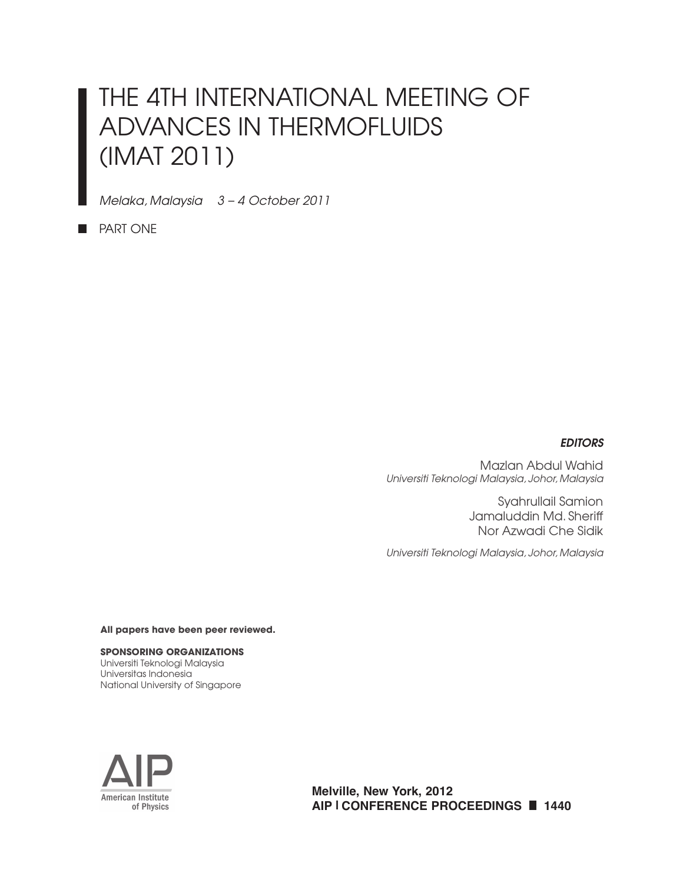# THE 4TH INTERNATIONAL MEETING OF ADVANCES IN THERMOFLUIDS (IMAT 2011)

*Melaka, Malaysia 3 – 4 October 2011*

**PART ONE** 

#### *EDITORS*

Mazlan Abdul Wahid *Universiti Teknologi Malaysia, Johor, Malaysia*

> Syahrullail Samion Jamaluddin Md. Sheriff Nor Azwadi Che Sidik

*Universiti Teknologi Malaysia, Johor, Malaysia*

**All papers have been peer reviewed.**

**SPONSORING ORGANIZATIONS** Universiti Teknologi Malaysia Universitas Indonesia National University of Singapore



**Melville, New York, 2012 AIP | CONFERENCE PROCEEDINGS 1440**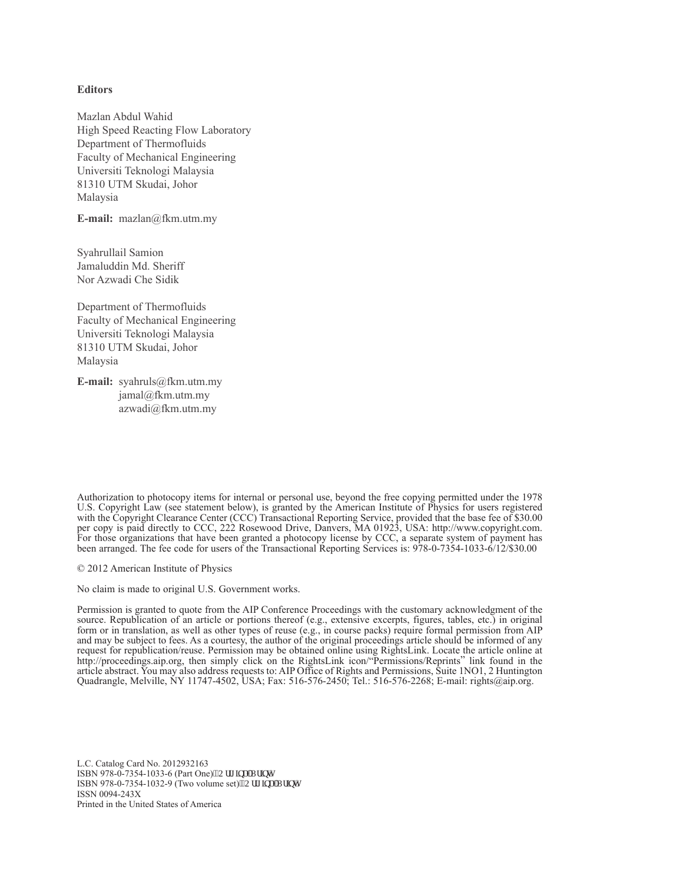#### **Editors**

Mazlan Abdul Wahid High Speed Reacting Flow Laboratory Department of Thermofluids Faculty of Mechanical Engineering Universiti Teknologi Malaysia 81310 UTM Skudai, Johor Malaysia

**E-mail:** mazlan@fkm.utm.my

Syahrullail Samion Jamaluddin Md. Sheriff Nor Azwadi Che Sidik

Department of Thermofluids Faculty of Mechanical Engineering Universiti Teknologi Malaysia 81310 UTM Skudai, Johor Malaysia

**E-mail:** syahruls@fkm.utm.my jamal@fkm.utm.my azwadi@fkm.utm.my

Authorization to photocopy items for internal or personal use, beyond the free copying permitted under the 1978 U.S. Copyright Law (see statement below), is granted by the American Institute of Physics for users registered with the Copyright Clearance Center (CCC) Transactional Reporting Service, provided that the base fee of \$30.00 per copy is paid directly to CCC, 222 Rosewood Drive, Danvers, MA 01923, USA: http://www.copyright.com. For those organizations that have been granted a photocopy license by CCC, a separate system of payment has been arranged. The fee code for users of the Transactional Reporting Services is: 978-0-7354-1033-6/12/\$30.00

© 2012 American Institute of Physics

No claim is made to original U.S. Government works.

Permission is granted to quote from the AIP Conference Proceedings with the customary acknowledgment of the source. Republication of an article or portions thereof (e.g., extensive excerpts, figures, tables, etc.) in original form or in translation, as well as other types of reuse (e.g., in course packs) require formal permission from AIP and may be subject to fees. As a courtesy, the author of the original proceedings article should be informed of any request for republication/reuse. Permission may be obtained online using RightsLink. Locate the article online at http://proceedings.aip.org, then simply click on the RightsLink icon/"Permissions/Reprints" link found in the article abstract. You may also address requests to: AIP Office of Rights and Permissions, Suite 1NO1, 2 Huntington Quadrangle, Melville, NY 11747-4502, USA; Fax: 516-576-2450; Tel.: 516-576-2268; E-mail: rights@aip.org.

L.C. Catalog Card No. 2012932163 ISBN 978-0-7354-1033-6 (Part One)"Qtki kpcn'Rtkpv+ ISBN 978-0-7354-1032-9 (Two volume set)<sup>19</sup>Qtki kpcnRtkpv+ ISSN 0094-243X Printed in the United States of America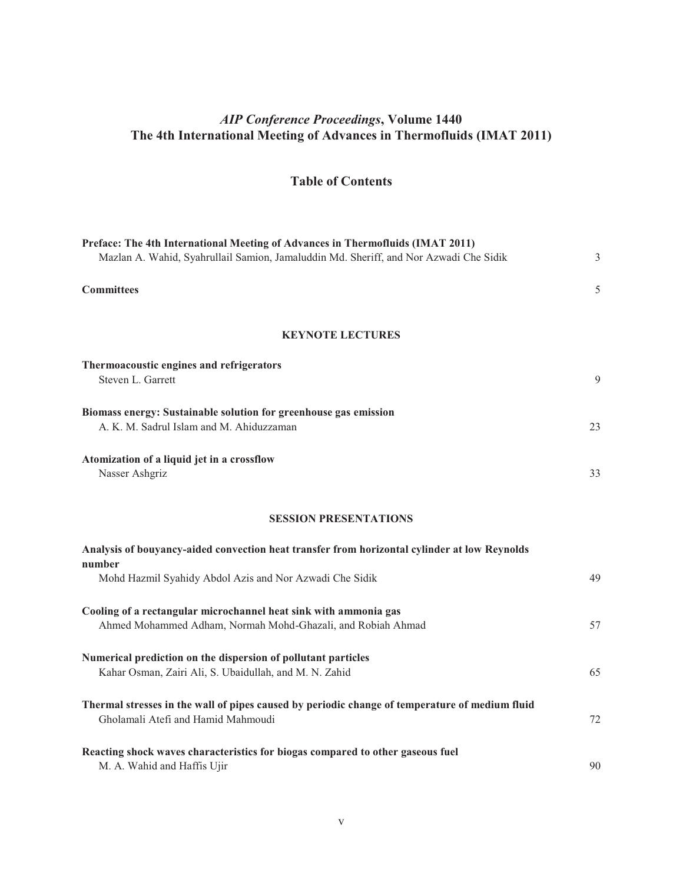#### *AIP Conference Proceedings***, Volume 1440 The 4th International Meeting of Advances in Thermofluids (IMAT 2011)**

### **Table of Contents**

| Preface: The 4th International Meeting of Advances in Thermofluids (IMAT 2011)                                                       |    |
|--------------------------------------------------------------------------------------------------------------------------------------|----|
| Mazlan A. Wahid, Syahrullail Samion, Jamaluddin Md. Sheriff, and Nor Azwadi Che Sidik                                                | 3  |
| <b>Committees</b>                                                                                                                    | 5  |
| <b>KEYNOTE LECTURES</b>                                                                                                              |    |
| Thermoacoustic engines and refrigerators                                                                                             |    |
| Steven L. Garrett                                                                                                                    | 9  |
| Biomass energy: Sustainable solution for greenhouse gas emission<br>A. K. M. Sadrul Islam and M. Ahiduzzaman                         | 23 |
| Atomization of a liquid jet in a crossflow<br>Nasser Ashgriz                                                                         | 33 |
| <b>SESSION PRESENTATIONS</b>                                                                                                         |    |
| Analysis of bouyancy-aided convection heat transfer from horizontal cylinder at low Reynolds                                         |    |
| number<br>Mohd Hazmil Syahidy Abdol Azis and Nor Azwadi Che Sidik                                                                    | 49 |
| Cooling of a rectangular microchannel heat sink with ammonia gas<br>Ahmed Mohammed Adham, Normah Mohd-Ghazali, and Robiah Ahmad      | 57 |
| Numerical prediction on the dispersion of pollutant particles<br>Kahar Osman, Zairi Ali, S. Ubaidullah, and M. N. Zahid              | 65 |
| Thermal stresses in the wall of pipes caused by periodic change of temperature of medium fluid<br>Gholamali Atefi and Hamid Mahmoudi | 72 |
| Reacting shock waves characteristics for biogas compared to other gaseous fuel<br>M. A. Wahid and Haffis Ujir                        | 90 |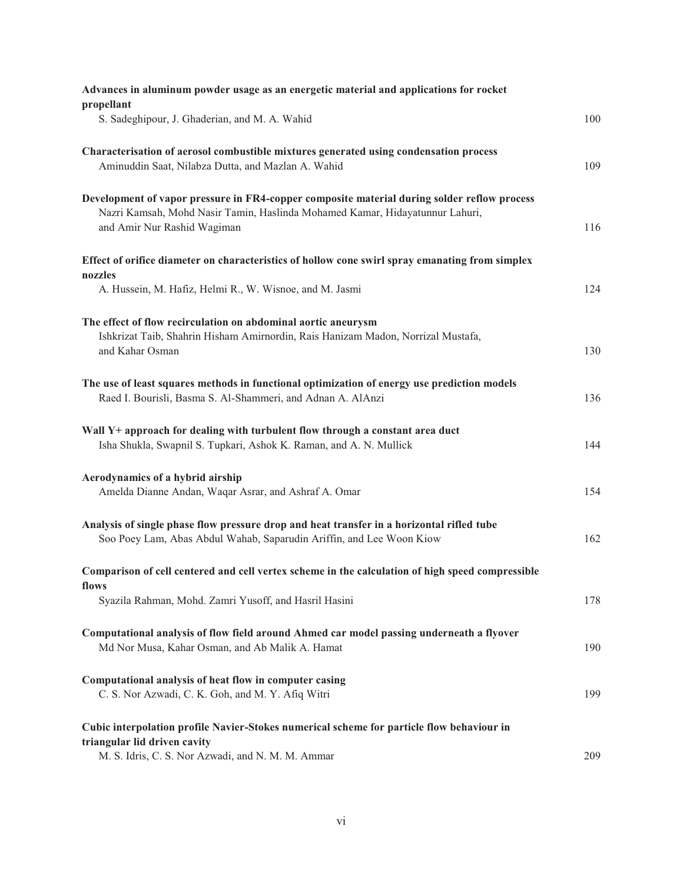| Advances in aluminum powder usage as an energetic material and applications for rocket           |     |
|--------------------------------------------------------------------------------------------------|-----|
| propellant<br>S. Sadeghipour, J. Ghaderian, and M. A. Wahid                                      | 100 |
|                                                                                                  |     |
| Characterisation of aerosol combustible mixtures generated using condensation process            |     |
| Aminuddin Saat, Nilabza Dutta, and Mazlan A. Wahid                                               | 109 |
|                                                                                                  |     |
| Development of vapor pressure in FR4-copper composite material during solder reflow process      |     |
| Nazri Kamsah, Mohd Nasir Tamin, Haslinda Mohamed Kamar, Hidayatunnur Lahuri,                     |     |
| and Amir Nur Rashid Wagiman                                                                      | 116 |
|                                                                                                  |     |
| Effect of orifice diameter on characteristics of hollow cone swirl spray emanating from simplex  |     |
| nozzles                                                                                          |     |
| A. Hussein, M. Hafiz, Helmi R., W. Wisnoe, and M. Jasmi                                          | 124 |
|                                                                                                  |     |
| The effect of flow recirculation on abdominal aortic aneurysm                                    |     |
| Ishkrizat Taib, Shahrin Hisham Amirnordin, Rais Hanizam Madon, Norrizal Mustafa,                 |     |
| and Kahar Osman                                                                                  | 130 |
|                                                                                                  |     |
| The use of least squares methods in functional optimization of energy use prediction models      |     |
| Raed I. Bourisli, Basma S. Al-Shammeri, and Adnan A. AlAnzi                                      | 136 |
|                                                                                                  |     |
| Wall Y+ approach for dealing with turbulent flow through a constant area duct                    |     |
| Isha Shukla, Swapnil S. Tupkari, Ashok K. Raman, and A. N. Mullick                               | 144 |
|                                                                                                  |     |
| Aerodynamics of a hybrid airship                                                                 |     |
| Amelda Dianne Andan, Waqar Asrar, and Ashraf A. Omar                                             | 154 |
|                                                                                                  |     |
| Analysis of single phase flow pressure drop and heat transfer in a horizontal rifled tube        |     |
| Soo Poey Lam, Abas Abdul Wahab, Saparudin Ariffin, and Lee Woon Kiow                             | 162 |
|                                                                                                  |     |
| Comparison of cell centered and cell vertex scheme in the calculation of high speed compressible |     |
| flows<br>Syazila Rahman, Mohd. Zamri Yusoff, and Hasril Hasini                                   | 178 |
|                                                                                                  |     |
| Computational analysis of flow field around Ahmed car model passing underneath a flyover         |     |
| Md Nor Musa, Kahar Osman, and Ab Malik A. Hamat                                                  | 190 |
|                                                                                                  |     |
| Computational analysis of heat flow in computer casing                                           |     |
| C. S. Nor Azwadi, C. K. Goh, and M. Y. Afiq Witri                                                | 199 |
|                                                                                                  |     |
| Cubic interpolation profile Navier-Stokes numerical scheme for particle flow behaviour in        |     |
| triangular lid driven cavity                                                                     |     |
| M. S. Idris, C. S. Nor Azwadi, and N. M. M. Ammar                                                | 209 |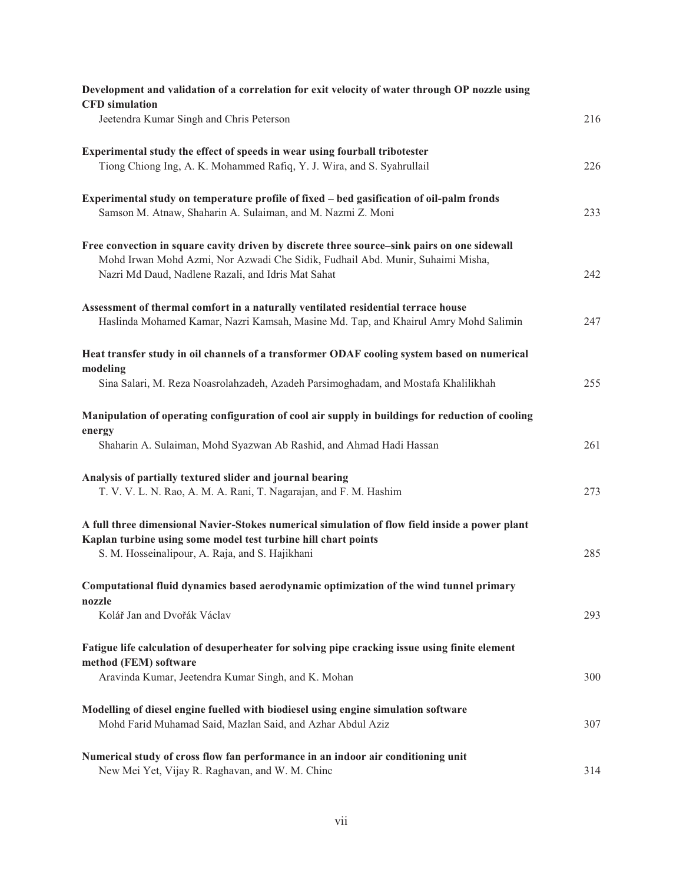| Development and validation of a correlation for exit velocity of water through OP nozzle using<br><b>CFD</b> simulation                                                                                                             |     |
|-------------------------------------------------------------------------------------------------------------------------------------------------------------------------------------------------------------------------------------|-----|
| Jeetendra Kumar Singh and Chris Peterson                                                                                                                                                                                            | 216 |
| Experimental study the effect of speeds in wear using fourball tribotester<br>Tiong Chiong Ing, A. K. Mohammed Rafiq, Y. J. Wira, and S. Syahrullail                                                                                | 226 |
| Experimental study on temperature profile of fixed – bed gasification of oil-palm fronds<br>Samson M. Atnaw, Shaharin A. Sulaiman, and M. Nazmi Z. Moni                                                                             | 233 |
| Free convection in square cavity driven by discrete three source-sink pairs on one sidewall<br>Mohd Irwan Mohd Azmi, Nor Azwadi Che Sidik, Fudhail Abd. Munir, Suhaimi Misha,<br>Nazri Md Daud, Nadlene Razali, and Idris Mat Sahat | 242 |
| Assessment of thermal comfort in a naturally ventilated residential terrace house<br>Haslinda Mohamed Kamar, Nazri Kamsah, Masine Md. Tap, and Khairul Amry Mohd Salimin                                                            | 247 |
| Heat transfer study in oil channels of a transformer ODAF cooling system based on numerical<br>modeling<br>Sina Salari, M. Reza Noasrolahzadeh, Azadeh Parsimoghadam, and Mostafa Khalilikhah                                       | 255 |
| Manipulation of operating configuration of cool air supply in buildings for reduction of cooling<br>energy<br>Shaharin A. Sulaiman, Mohd Syazwan Ab Rashid, and Ahmad Hadi Hassan                                                   | 261 |
| Analysis of partially textured slider and journal bearing<br>T. V. V. L. N. Rao, A. M. A. Rani, T. Nagarajan, and F. M. Hashim                                                                                                      | 273 |
| A full three dimensional Navier-Stokes numerical simulation of flow field inside a power plant<br>Kaplan turbine using some model test turbine hill chart points<br>S. M. Hosseinalipour, A. Raja, and S. Hajikhani                 | 285 |
| Computational fluid dynamics based aerodynamic optimization of the wind tunnel primary<br>nozzle<br>Kolář Jan and Dvořák Václav                                                                                                     | 293 |
| Fatigue life calculation of desuperheater for solving pipe cracking issue using finite element<br>method (FEM) software                                                                                                             |     |
| Aravinda Kumar, Jeetendra Kumar Singh, and K. Mohan                                                                                                                                                                                 | 300 |
| Modelling of diesel engine fuelled with biodiesel using engine simulation software<br>Mohd Farid Muhamad Said, Mazlan Said, and Azhar Abdul Aziz                                                                                    | 307 |
| Numerical study of cross flow fan performance in an indoor air conditioning unit<br>New Mei Yet, Vijay R. Raghavan, and W. M. Chinc                                                                                                 | 314 |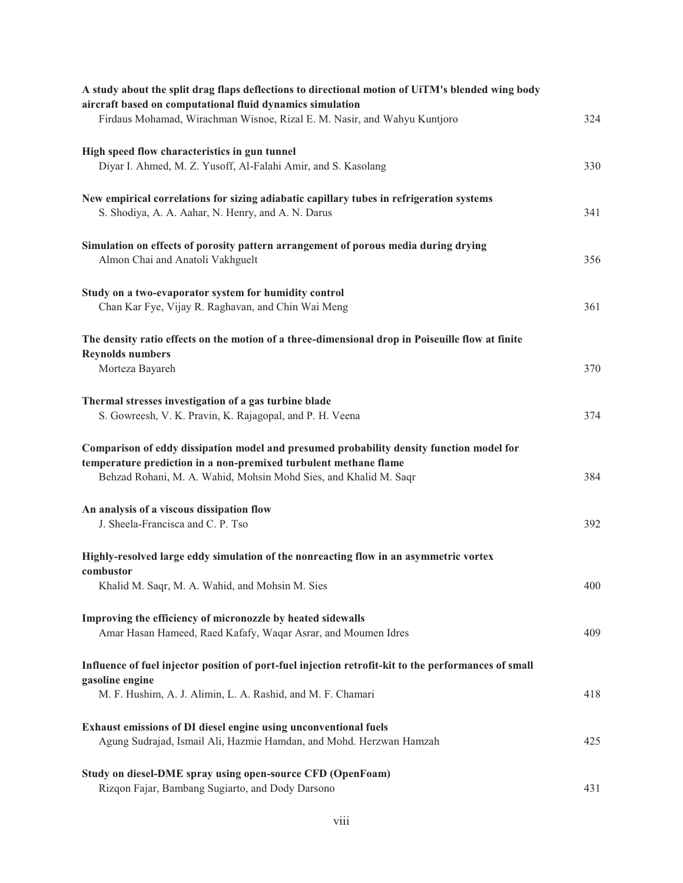| A study about the split drag flaps deflections to directional motion of UiTM's blended wing body<br>aircraft based on computational fluid dynamics simulation<br>Firdaus Mohamad, Wirachman Wisnoe, Rizal E. M. Nasir, and Wahyu Kuntjoro | 324 |
|-------------------------------------------------------------------------------------------------------------------------------------------------------------------------------------------------------------------------------------------|-----|
| High speed flow characteristics in gun tunnel<br>Diyar I. Ahmed, M. Z. Yusoff, Al-Falahi Amir, and S. Kasolang                                                                                                                            | 330 |
| New empirical correlations for sizing adiabatic capillary tubes in refrigeration systems<br>S. Shodiya, A. A. Aahar, N. Henry, and A. N. Darus                                                                                            | 341 |
| Simulation on effects of porosity pattern arrangement of porous media during drying<br>Almon Chai and Anatoli Vakhguelt                                                                                                                   | 356 |
| Study on a two-evaporator system for humidity control<br>Chan Kar Fye, Vijay R. Raghavan, and Chin Wai Meng                                                                                                                               | 361 |
| The density ratio effects on the motion of a three-dimensional drop in Poiseuille flow at finite<br><b>Reynolds numbers</b>                                                                                                               |     |
| Morteza Bayareh                                                                                                                                                                                                                           | 370 |
| Thermal stresses investigation of a gas turbine blade<br>S. Gowreesh, V. K. Pravin, K. Rajagopal, and P. H. Veena                                                                                                                         | 374 |
| Comparison of eddy dissipation model and presumed probability density function model for<br>temperature prediction in a non-premixed turbulent methane flame<br>Behzad Rohani, M. A. Wahid, Mohsin Mohd Sies, and Khalid M. Saqr          | 384 |
| An analysis of a viscous dissipation flow<br>J. Sheela-Francisca and C. P. Tso                                                                                                                                                            | 392 |
| Highly-resolved large eddy simulation of the nonreacting flow in an asymmetric vortex                                                                                                                                                     |     |
| combustor<br>Khalid M. Saqr, M. A. Wahid, and Mohsin M. Sies                                                                                                                                                                              | 400 |
| Improving the efficiency of micronozzle by heated sidewalls<br>Amar Hasan Hameed, Raed Kafafy, Waqar Asrar, and Moumen Idres                                                                                                              | 409 |
| Influence of fuel injector position of port-fuel injection retrofit-kit to the performances of small                                                                                                                                      |     |
| gasoline engine<br>M. F. Hushim, A. J. Alimin, L. A. Rashid, and M. F. Chamari                                                                                                                                                            | 418 |
| Exhaust emissions of DI diesel engine using unconventional fuels<br>Agung Sudrajad, Ismail Ali, Hazmie Hamdan, and Mohd. Herzwan Hamzah                                                                                                   | 425 |
| Study on diesel-DME spray using open-source CFD (OpenFoam)<br>Rizqon Fajar, Bambang Sugiarto, and Dody Darsono                                                                                                                            | 431 |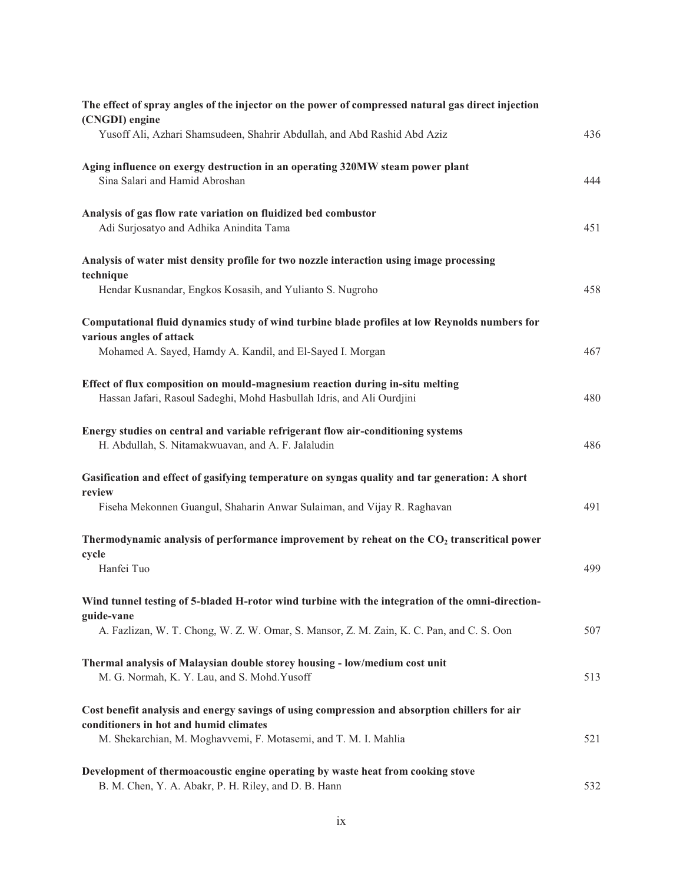| The effect of spray angles of the injector on the power of compressed natural gas direct injection<br>(CNGDI) engine                                   |     |
|--------------------------------------------------------------------------------------------------------------------------------------------------------|-----|
| Yusoff Ali, Azhari Shamsudeen, Shahrir Abdullah, and Abd Rashid Abd Aziz                                                                               | 436 |
| Aging influence on exergy destruction in an operating 320MW steam power plant<br>Sina Salari and Hamid Abroshan                                        | 444 |
| Analysis of gas flow rate variation on fluidized bed combustor<br>Adi Surjosatyo and Adhika Anindita Tama                                              | 451 |
| Analysis of water mist density profile for two nozzle interaction using image processing<br>technique                                                  |     |
| Hendar Kusnandar, Engkos Kosasih, and Yulianto S. Nugroho                                                                                              | 458 |
| Computational fluid dynamics study of wind turbine blade profiles at low Reynolds numbers for<br>various angles of attack                              |     |
| Mohamed A. Sayed, Hamdy A. Kandil, and El-Sayed I. Morgan                                                                                              | 467 |
| Effect of flux composition on mould-magnesium reaction during in-situ melting<br>Hassan Jafari, Rasoul Sadeghi, Mohd Hasbullah Idris, and Ali Ourdjini | 480 |
| Energy studies on central and variable refrigerant flow air-conditioning systems<br>H. Abdullah, S. Nitamakwuavan, and A. F. Jalaludin                 | 486 |
| Gasification and effect of gasifying temperature on syngas quality and tar generation: A short                                                         |     |
| review<br>Fiseha Mekonnen Guangul, Shaharin Anwar Sulaiman, and Vijay R. Raghavan                                                                      | 491 |
| Thermodynamic analysis of performance improvement by reheat on the CO <sub>2</sub> transcritical power<br>cycle                                        |     |
| Hanfei Tuo                                                                                                                                             | 499 |
| Wind tunnel testing of 5-bladed H-rotor wind turbine with the integration of the omni-direction-<br>guide-vane                                         |     |
| A. Fazlizan, W. T. Chong, W. Z. W. Omar, S. Mansor, Z. M. Zain, K. C. Pan, and C. S. Oon                                                               | 507 |
| Thermal analysis of Malaysian double storey housing - low/medium cost unit<br>M. G. Normah, K. Y. Lau, and S. Mohd. Yusoff                             | 513 |
| Cost benefit analysis and energy savings of using compression and absorption chillers for air<br>conditioners in hot and humid climates                |     |
| M. Shekarchian, M. Moghavvemi, F. Motasemi, and T. M. I. Mahlia                                                                                        | 521 |
| Development of thermoacoustic engine operating by waste heat from cooking stove<br>B. M. Chen, Y. A. Abakr, P. H. Riley, and D. B. Hann                | 532 |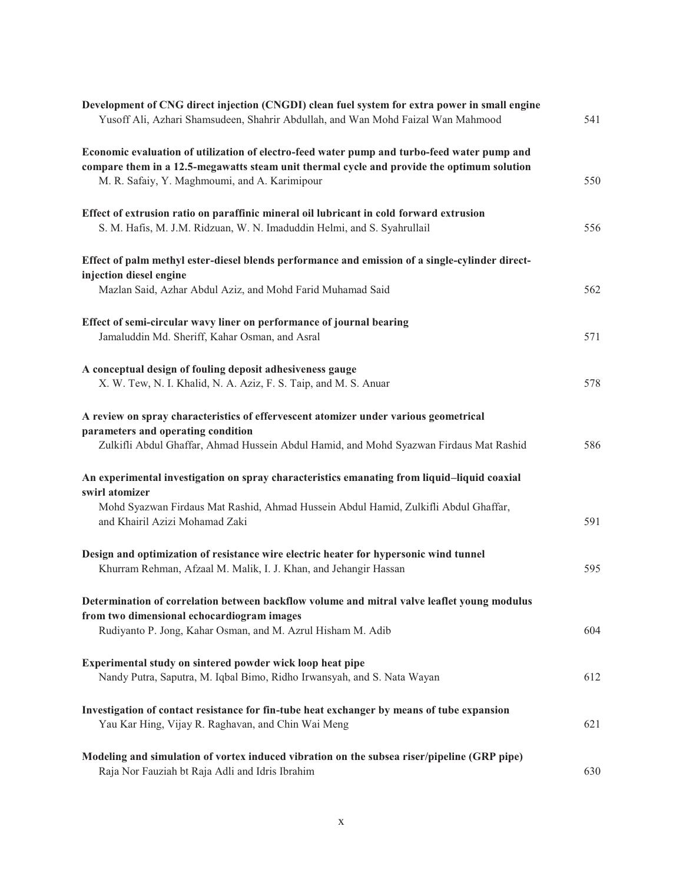| Development of CNG direct injection (CNGDI) clean fuel system for extra power in small engine<br>Yusoff Ali, Azhari Shamsudeen, Shahrir Abdullah, and Wan Mohd Faizal Wan Mahmood | 541 |
|-----------------------------------------------------------------------------------------------------------------------------------------------------------------------------------|-----|
| Economic evaluation of utilization of electro-feed water pump and turbo-feed water pump and                                                                                       |     |
| compare them in a 12.5-megawatts steam unit thermal cycle and provide the optimum solution                                                                                        |     |
| M. R. Safaiy, Y. Maghmoumi, and A. Karimipour                                                                                                                                     | 550 |
| Effect of extrusion ratio on paraffinic mineral oil lubricant in cold forward extrusion                                                                                           |     |
| S. M. Hafis, M. J.M. Ridzuan, W. N. Imaduddin Helmi, and S. Syahrullail                                                                                                           | 556 |
| Effect of palm methyl ester-diesel blends performance and emission of a single-cylinder direct-                                                                                   |     |
| injection diesel engine                                                                                                                                                           |     |
| Mazlan Said, Azhar Abdul Aziz, and Mohd Farid Muhamad Said                                                                                                                        | 562 |
| Effect of semi-circular wavy liner on performance of journal bearing                                                                                                              |     |
| Jamaluddin Md. Sheriff, Kahar Osman, and Asral                                                                                                                                    | 571 |
| A conceptual design of fouling deposit adhesiveness gauge                                                                                                                         |     |
| X. W. Tew, N. I. Khalid, N. A. Aziz, F. S. Taip, and M. S. Anuar                                                                                                                  | 578 |
| A review on spray characteristics of effervescent atomizer under various geometrical                                                                                              |     |
| parameters and operating condition                                                                                                                                                |     |
| Zulkifli Abdul Ghaffar, Ahmad Hussein Abdul Hamid, and Mohd Syazwan Firdaus Mat Rashid                                                                                            | 586 |
| An experimental investigation on spray characteristics emanating from liquid-liquid coaxial<br>swirl atomizer                                                                     |     |
| Mohd Syazwan Firdaus Mat Rashid, Ahmad Hussein Abdul Hamid, Zulkifli Abdul Ghaffar,                                                                                               |     |
| and Khairil Azizi Mohamad Zaki                                                                                                                                                    | 591 |
| Design and optimization of resistance wire electric heater for hypersonic wind tunnel                                                                                             |     |
| Khurram Rehman, Afzaal M. Malik, I. J. Khan, and Jehangir Hassan                                                                                                                  | 595 |
| Determination of correlation between backflow volume and mitral valve leaflet young modulus                                                                                       |     |
| from two dimensional echocardiogram images                                                                                                                                        |     |
| Rudiyanto P. Jong, Kahar Osman, and M. Azrul Hisham M. Adib                                                                                                                       | 604 |
| Experimental study on sintered powder wick loop heat pipe                                                                                                                         |     |
| Nandy Putra, Saputra, M. Iqbal Bimo, Ridho Irwansyah, and S. Nata Wayan                                                                                                           | 612 |
| Investigation of contact resistance for fin-tube heat exchanger by means of tube expansion                                                                                        |     |
| Yau Kar Hing, Vijay R. Raghavan, and Chin Wai Meng                                                                                                                                | 621 |
| Modeling and simulation of vortex induced vibration on the subsea riser/pipeline (GRP pipe)                                                                                       |     |
| Raja Nor Fauziah bt Raja Adli and Idris Ibrahim                                                                                                                                   | 630 |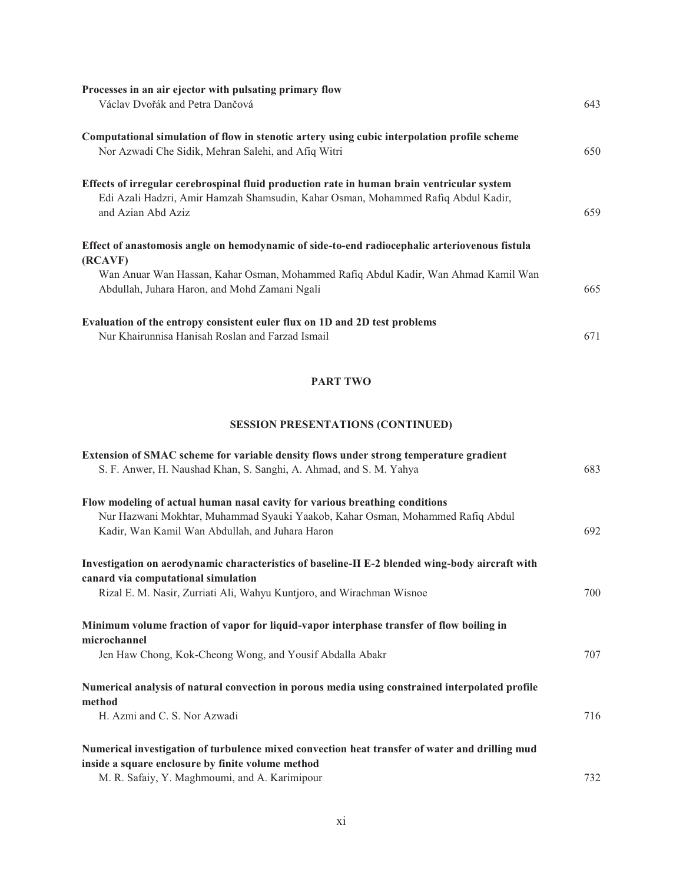| Processes in an air ejector with pulsating primary flow                                                 |     |
|---------------------------------------------------------------------------------------------------------|-----|
| Václav Dvořák and Petra Dančová                                                                         | 643 |
| Computational simulation of flow in stenotic artery using cubic interpolation profile scheme            |     |
| Nor Azwadi Che Sidik, Mehran Salehi, and Afiq Witri                                                     | 650 |
| Effects of irregular cerebrospinal fluid production rate in human brain ventricular system              |     |
| Edi Azali Hadzri, Amir Hamzah Shamsudin, Kahar Osman, Mohammed Rafiq Abdul Kadir,<br>and Azian Abd Aziz | 659 |
| Effect of anastomosis angle on hemodynamic of side-to-end radiocephalic arteriovenous fistula           |     |
| (RCAVF)                                                                                                 |     |
| Wan Anuar Wan Hassan, Kahar Osman, Mohammed Rafiq Abdul Kadir, Wan Ahmad Kamil Wan                      |     |
| Abdullah, Juhara Haron, and Mohd Zamani Ngali                                                           | 665 |
| Evaluation of the entropy consistent euler flux on 1D and 2D test problems                              |     |
| Nur Khairunnisa Hanisah Roslan and Farzad Ismail                                                        | 671 |

### **PART TWO**

## **SESSION PRESENTATIONS (CONTINUED)**

| Extension of SMAC scheme for variable density flows under strong temperature gradient                                                  |     |
|----------------------------------------------------------------------------------------------------------------------------------------|-----|
| S. F. Anwer, H. Naushad Khan, S. Sanghi, A. Ahmad, and S. M. Yahya                                                                     | 683 |
| Flow modeling of actual human nasal cavity for various breathing conditions                                                            |     |
| Nur Hazwani Mokhtar, Muhammad Syauki Yaakob, Kahar Osman, Mohammed Rafiq Abdul                                                         |     |
| Kadir, Wan Kamil Wan Abdullah, and Juhara Haron                                                                                        | 692 |
| Investigation on aerodynamic characteristics of baseline-II E-2 blended wing-body aircraft with<br>canard via computational simulation |     |
| Rizal E. M. Nasir, Zurriati Ali, Wahyu Kuntjoro, and Wirachman Wisnoe                                                                  | 700 |
| Minimum volume fraction of vapor for liquid-vapor interphase transfer of flow boiling in<br>microchannel                               |     |
| Jen Haw Chong, Kok-Cheong Wong, and Yousif Abdalla Abakr                                                                               | 707 |
| Numerical analysis of natural convection in porous media using constrained interpolated profile<br>method                              |     |
| H. Azmi and C. S. Nor Azwadi                                                                                                           | 716 |
| Numerical investigation of turbulence mixed convection heat transfer of water and drilling mud                                         |     |
| inside a square enclosure by finite volume method                                                                                      |     |
| M. R. Safaiy, Y. Maghmoumi, and A. Karimipour                                                                                          | 732 |

M. R. Safaiy, Y. Maghmoumi, and A. Karimipour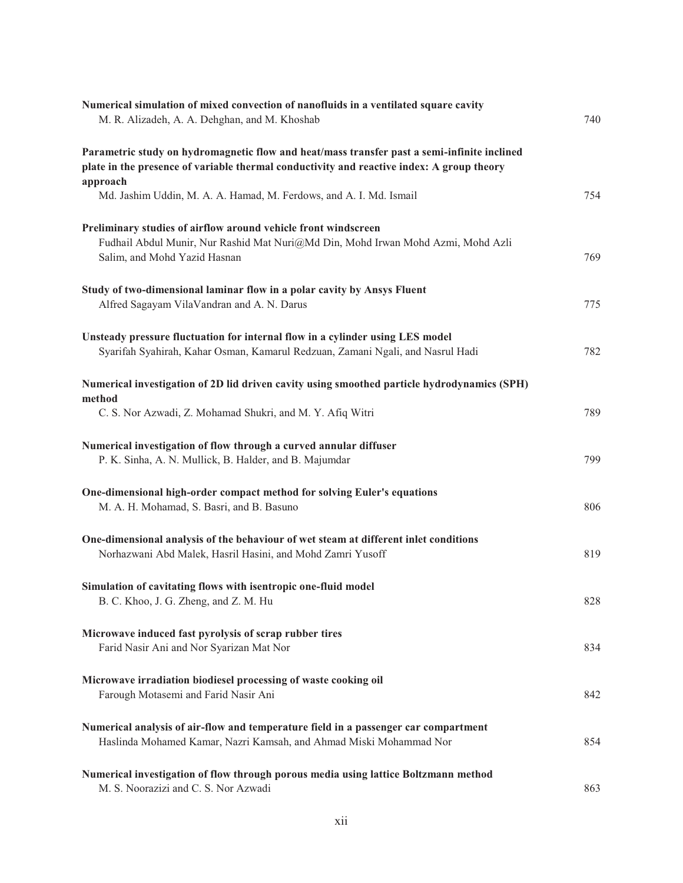| M. R. Alizadeh, A. A. Dehghan, and M. Khoshab<br>740<br>Parametric study on hydromagnetic flow and heat/mass transfer past a semi-infinite inclined<br>plate in the presence of variable thermal conductivity and reactive index: A group theory<br>approach<br>Md. Jashim Uddin, M. A. A. Hamad, M. Ferdows, and A. I. Md. Ismail<br>754<br>Preliminary studies of airflow around vehicle front windscreen<br>Fudhail Abdul Munir, Nur Rashid Mat Nuri@Md Din, Mohd Irwan Mohd Azmi, Mohd Azli<br>Salim, and Mohd Yazid Hasnan<br>769<br>Study of two-dimensional laminar flow in a polar cavity by Ansys Fluent<br>Alfred Sagayam VilaVandran and A. N. Darus<br>775<br>Unsteady pressure fluctuation for internal flow in a cylinder using LES model<br>Syarifah Syahirah, Kahar Osman, Kamarul Redzuan, Zamani Ngali, and Nasrul Hadi<br>782<br>Numerical investigation of 2D lid driven cavity using smoothed particle hydrodynamics (SPH)<br>method<br>C. S. Nor Azwadi, Z. Mohamad Shukri, and M. Y. Afiq Witri<br>789<br>Numerical investigation of flow through a curved annular diffuser<br>P. K. Sinha, A. N. Mullick, B. Halder, and B. Majumdar<br>799<br>One-dimensional high-order compact method for solving Euler's equations<br>M. A. H. Mohamad, S. Basri, and B. Basuno<br>806<br>One-dimensional analysis of the behaviour of wet steam at different inlet conditions<br>Norhazwani Abd Malek, Hasril Hasini, and Mohd Zamri Yusoff<br>819<br>Simulation of cavitating flows with isentropic one-fluid model |
|-----------------------------------------------------------------------------------------------------------------------------------------------------------------------------------------------------------------------------------------------------------------------------------------------------------------------------------------------------------------------------------------------------------------------------------------------------------------------------------------------------------------------------------------------------------------------------------------------------------------------------------------------------------------------------------------------------------------------------------------------------------------------------------------------------------------------------------------------------------------------------------------------------------------------------------------------------------------------------------------------------------------------------------------------------------------------------------------------------------------------------------------------------------------------------------------------------------------------------------------------------------------------------------------------------------------------------------------------------------------------------------------------------------------------------------------------------------------------------------------------------------------------------------|
|                                                                                                                                                                                                                                                                                                                                                                                                                                                                                                                                                                                                                                                                                                                                                                                                                                                                                                                                                                                                                                                                                                                                                                                                                                                                                                                                                                                                                                                                                                                                   |
|                                                                                                                                                                                                                                                                                                                                                                                                                                                                                                                                                                                                                                                                                                                                                                                                                                                                                                                                                                                                                                                                                                                                                                                                                                                                                                                                                                                                                                                                                                                                   |
|                                                                                                                                                                                                                                                                                                                                                                                                                                                                                                                                                                                                                                                                                                                                                                                                                                                                                                                                                                                                                                                                                                                                                                                                                                                                                                                                                                                                                                                                                                                                   |
|                                                                                                                                                                                                                                                                                                                                                                                                                                                                                                                                                                                                                                                                                                                                                                                                                                                                                                                                                                                                                                                                                                                                                                                                                                                                                                                                                                                                                                                                                                                                   |
|                                                                                                                                                                                                                                                                                                                                                                                                                                                                                                                                                                                                                                                                                                                                                                                                                                                                                                                                                                                                                                                                                                                                                                                                                                                                                                                                                                                                                                                                                                                                   |
|                                                                                                                                                                                                                                                                                                                                                                                                                                                                                                                                                                                                                                                                                                                                                                                                                                                                                                                                                                                                                                                                                                                                                                                                                                                                                                                                                                                                                                                                                                                                   |
|                                                                                                                                                                                                                                                                                                                                                                                                                                                                                                                                                                                                                                                                                                                                                                                                                                                                                                                                                                                                                                                                                                                                                                                                                                                                                                                                                                                                                                                                                                                                   |
|                                                                                                                                                                                                                                                                                                                                                                                                                                                                                                                                                                                                                                                                                                                                                                                                                                                                                                                                                                                                                                                                                                                                                                                                                                                                                                                                                                                                                                                                                                                                   |
|                                                                                                                                                                                                                                                                                                                                                                                                                                                                                                                                                                                                                                                                                                                                                                                                                                                                                                                                                                                                                                                                                                                                                                                                                                                                                                                                                                                                                                                                                                                                   |
|                                                                                                                                                                                                                                                                                                                                                                                                                                                                                                                                                                                                                                                                                                                                                                                                                                                                                                                                                                                                                                                                                                                                                                                                                                                                                                                                                                                                                                                                                                                                   |
|                                                                                                                                                                                                                                                                                                                                                                                                                                                                                                                                                                                                                                                                                                                                                                                                                                                                                                                                                                                                                                                                                                                                                                                                                                                                                                                                                                                                                                                                                                                                   |
|                                                                                                                                                                                                                                                                                                                                                                                                                                                                                                                                                                                                                                                                                                                                                                                                                                                                                                                                                                                                                                                                                                                                                                                                                                                                                                                                                                                                                                                                                                                                   |
|                                                                                                                                                                                                                                                                                                                                                                                                                                                                                                                                                                                                                                                                                                                                                                                                                                                                                                                                                                                                                                                                                                                                                                                                                                                                                                                                                                                                                                                                                                                                   |
|                                                                                                                                                                                                                                                                                                                                                                                                                                                                                                                                                                                                                                                                                                                                                                                                                                                                                                                                                                                                                                                                                                                                                                                                                                                                                                                                                                                                                                                                                                                                   |
|                                                                                                                                                                                                                                                                                                                                                                                                                                                                                                                                                                                                                                                                                                                                                                                                                                                                                                                                                                                                                                                                                                                                                                                                                                                                                                                                                                                                                                                                                                                                   |
|                                                                                                                                                                                                                                                                                                                                                                                                                                                                                                                                                                                                                                                                                                                                                                                                                                                                                                                                                                                                                                                                                                                                                                                                                                                                                                                                                                                                                                                                                                                                   |
|                                                                                                                                                                                                                                                                                                                                                                                                                                                                                                                                                                                                                                                                                                                                                                                                                                                                                                                                                                                                                                                                                                                                                                                                                                                                                                                                                                                                                                                                                                                                   |
|                                                                                                                                                                                                                                                                                                                                                                                                                                                                                                                                                                                                                                                                                                                                                                                                                                                                                                                                                                                                                                                                                                                                                                                                                                                                                                                                                                                                                                                                                                                                   |
|                                                                                                                                                                                                                                                                                                                                                                                                                                                                                                                                                                                                                                                                                                                                                                                                                                                                                                                                                                                                                                                                                                                                                                                                                                                                                                                                                                                                                                                                                                                                   |
| B. C. Khoo, J. G. Zheng, and Z. M. Hu<br>828                                                                                                                                                                                                                                                                                                                                                                                                                                                                                                                                                                                                                                                                                                                                                                                                                                                                                                                                                                                                                                                                                                                                                                                                                                                                                                                                                                                                                                                                                      |
| Microwave induced fast pyrolysis of scrap rubber tires                                                                                                                                                                                                                                                                                                                                                                                                                                                                                                                                                                                                                                                                                                                                                                                                                                                                                                                                                                                                                                                                                                                                                                                                                                                                                                                                                                                                                                                                            |
| Farid Nasir Ani and Nor Syarizan Mat Nor<br>834                                                                                                                                                                                                                                                                                                                                                                                                                                                                                                                                                                                                                                                                                                                                                                                                                                                                                                                                                                                                                                                                                                                                                                                                                                                                                                                                                                                                                                                                                   |
| Microwave irradiation biodiesel processing of waste cooking oil<br>Farough Motasemi and Farid Nasir Ani<br>842                                                                                                                                                                                                                                                                                                                                                                                                                                                                                                                                                                                                                                                                                                                                                                                                                                                                                                                                                                                                                                                                                                                                                                                                                                                                                                                                                                                                                    |
|                                                                                                                                                                                                                                                                                                                                                                                                                                                                                                                                                                                                                                                                                                                                                                                                                                                                                                                                                                                                                                                                                                                                                                                                                                                                                                                                                                                                                                                                                                                                   |
| Numerical analysis of air-flow and temperature field in a passenger car compartment<br>Haslinda Mohamed Kamar, Nazri Kamsah, and Ahmad Miski Mohammad Nor<br>854                                                                                                                                                                                                                                                                                                                                                                                                                                                                                                                                                                                                                                                                                                                                                                                                                                                                                                                                                                                                                                                                                                                                                                                                                                                                                                                                                                  |
|                                                                                                                                                                                                                                                                                                                                                                                                                                                                                                                                                                                                                                                                                                                                                                                                                                                                                                                                                                                                                                                                                                                                                                                                                                                                                                                                                                                                                                                                                                                                   |
| Numerical investigation of flow through porous media using lattice Boltzmann method<br>M. S. Noorazizi and C. S. Nor Azwadi<br>863                                                                                                                                                                                                                                                                                                                                                                                                                                                                                                                                                                                                                                                                                                                                                                                                                                                                                                                                                                                                                                                                                                                                                                                                                                                                                                                                                                                                |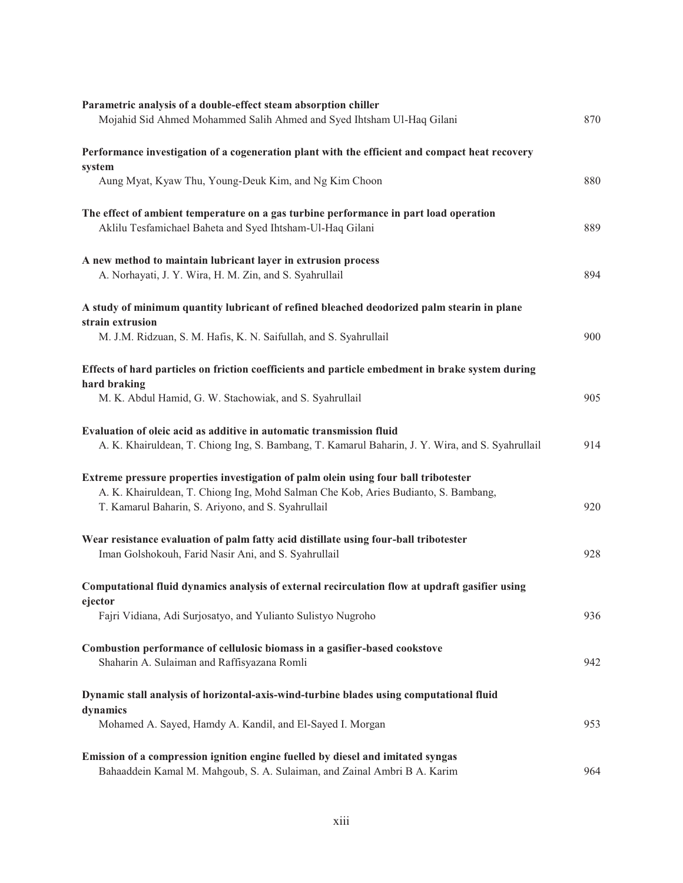| Parametric analysis of a double-effect steam absorption chiller<br>Mojahid Sid Ahmed Mohammed Salih Ahmed and Syed Ihtsham Ul-Haq Gilani                                                                                        | 870 |
|---------------------------------------------------------------------------------------------------------------------------------------------------------------------------------------------------------------------------------|-----|
| Performance investigation of a cogeneration plant with the efficient and compact heat recovery<br>system                                                                                                                        |     |
| Aung Myat, Kyaw Thu, Young-Deuk Kim, and Ng Kim Choon                                                                                                                                                                           | 880 |
| The effect of ambient temperature on a gas turbine performance in part load operation<br>Aklilu Tesfamichael Baheta and Syed Ihtsham-Ul-Haq Gilani                                                                              | 889 |
| A new method to maintain lubricant layer in extrusion process<br>A. Norhayati, J. Y. Wira, H. M. Zin, and S. Syahrullail                                                                                                        | 894 |
| A study of minimum quantity lubricant of refined bleached deodorized palm stearin in plane<br>strain extrusion                                                                                                                  |     |
| M. J.M. Ridzuan, S. M. Hafis, K. N. Saifullah, and S. Syahrullail                                                                                                                                                               | 900 |
| Effects of hard particles on friction coefficients and particle embedment in brake system during<br>hard braking                                                                                                                |     |
| M. K. Abdul Hamid, G. W. Stachowiak, and S. Syahrullail                                                                                                                                                                         | 905 |
| Evaluation of oleic acid as additive in automatic transmission fluid<br>A. K. Khairuldean, T. Chiong Ing, S. Bambang, T. Kamarul Baharin, J. Y. Wira, and S. Syahrullail                                                        | 914 |
| Extreme pressure properties investigation of palm olein using four ball tribotester<br>A. K. Khairuldean, T. Chiong Ing, Mohd Salman Che Kob, Aries Budianto, S. Bambang,<br>T. Kamarul Baharin, S. Ariyono, and S. Syahrullail | 920 |
| Wear resistance evaluation of palm fatty acid distillate using four-ball tribotester<br>Iman Golshokouh, Farid Nasir Ani, and S. Syahrullail                                                                                    | 928 |
| Computational fluid dynamics analysis of external recirculation flow at updraft gasifier using                                                                                                                                  |     |
| ejector<br>Fajri Vidiana, Adi Surjosatyo, and Yulianto Sulistyo Nugroho                                                                                                                                                         | 936 |
| Combustion performance of cellulosic biomass in a gasifier-based cookstove<br>Shaharin A. Sulaiman and Raffisyazana Romli                                                                                                       | 942 |
| Dynamic stall analysis of horizontal-axis-wind-turbine blades using computational fluid                                                                                                                                         |     |
| dynamics<br>Mohamed A. Sayed, Hamdy A. Kandil, and El-Sayed I. Morgan                                                                                                                                                           | 953 |
| Emission of a compression ignition engine fuelled by diesel and imitated syngas<br>Bahaaddein Kamal M. Mahgoub, S. A. Sulaiman, and Zainal Ambri B A. Karim                                                                     | 964 |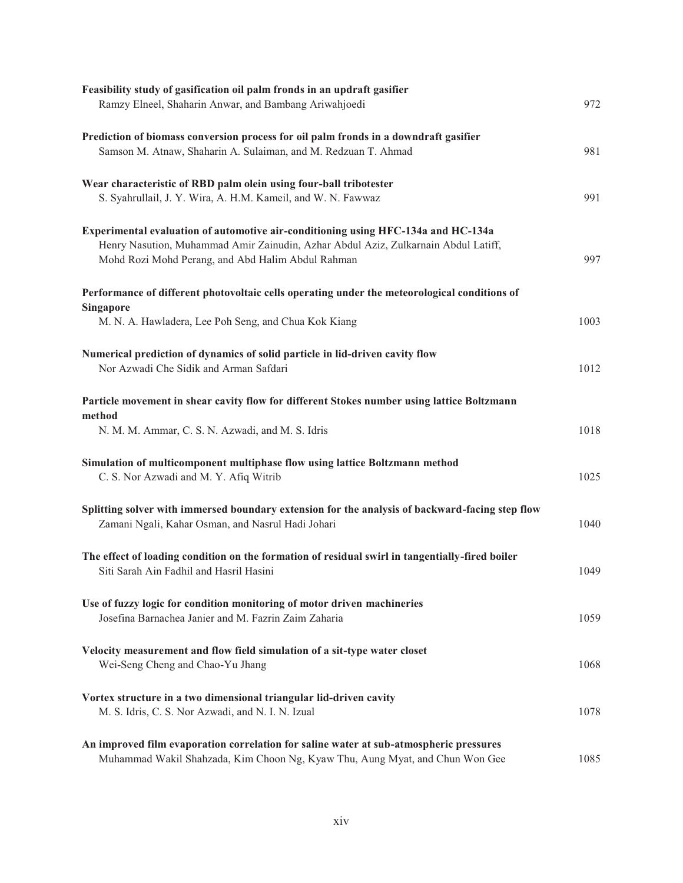| Feasibility study of gasification oil palm fronds in an updraft gasifier<br>Ramzy Elneel, Shaharin Anwar, and Bambang Ariwahjoedi                                                                                            | 972  |
|------------------------------------------------------------------------------------------------------------------------------------------------------------------------------------------------------------------------------|------|
| Prediction of biomass conversion process for oil palm fronds in a downdraft gasifier<br>Samson M. Atnaw, Shaharin A. Sulaiman, and M. Redzuan T. Ahmad                                                                       | 981  |
| Wear characteristic of RBD palm olein using four-ball tribotester<br>S. Syahrullail, J. Y. Wira, A. H.M. Kameil, and W. N. Fawwaz                                                                                            | 991  |
| Experimental evaluation of automotive air-conditioning using HFC-134a and HC-134a<br>Henry Nasution, Muhammad Amir Zainudin, Azhar Abdul Aziz, Zulkarnain Abdul Latiff,<br>Mohd Rozi Mohd Perang, and Abd Halim Abdul Rahman | 997  |
| Performance of different photovoltaic cells operating under the meteorological conditions of<br><b>Singapore</b>                                                                                                             |      |
| M. N. A. Hawladera, Lee Poh Seng, and Chua Kok Kiang                                                                                                                                                                         | 1003 |
| Numerical prediction of dynamics of solid particle in lid-driven cavity flow<br>Nor Azwadi Che Sidik and Arman Safdari                                                                                                       | 1012 |
| Particle movement in shear cavity flow for different Stokes number using lattice Boltzmann<br>method<br>N. M. M. Ammar, C. S. N. Azwadi, and M. S. Idris                                                                     | 1018 |
| Simulation of multicomponent multiphase flow using lattice Boltzmann method<br>C. S. Nor Azwadi and M. Y. Afiq Witrib                                                                                                        | 1025 |
| Splitting solver with immersed boundary extension for the analysis of backward-facing step flow<br>Zamani Ngali, Kahar Osman, and Nasrul Hadi Johari                                                                         | 1040 |
| The effect of loading condition on the formation of residual swirl in tangentially-fired boiler<br>Siti Sarah Ain Fadhil and Hasril Hasini                                                                                   | 1049 |
| Use of fuzzy logic for condition monitoring of motor driven machineries<br>Josefina Barnachea Janier and M. Fazrin Zaim Zaharia                                                                                              | 1059 |
| Velocity measurement and flow field simulation of a sit-type water closet<br>Wei-Seng Cheng and Chao-Yu Jhang                                                                                                                | 1068 |
| Vortex structure in a two dimensional triangular lid-driven cavity<br>M. S. Idris, C. S. Nor Azwadi, and N. I. N. Izual                                                                                                      | 1078 |
| An improved film evaporation correlation for saline water at sub-atmospheric pressures<br>Muhammad Wakil Shahzada, Kim Choon Ng, Kyaw Thu, Aung Myat, and Chun Won Gee                                                       | 1085 |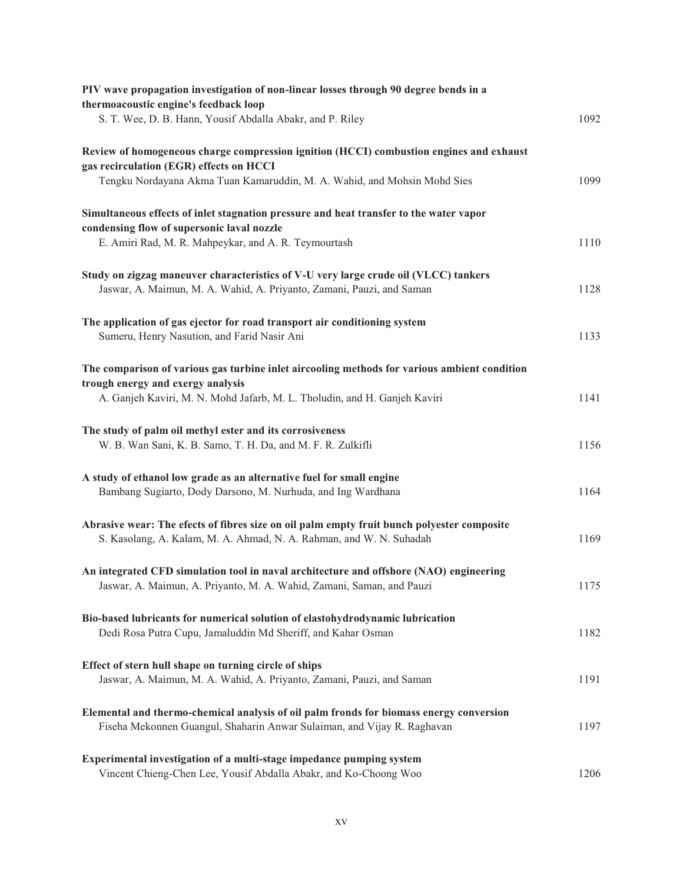| PIV wave propagation investigation of non-linear losses through 90 degree bends in a                                               |      |
|------------------------------------------------------------------------------------------------------------------------------------|------|
| thermoacoustic engine's feedback loop<br>S. T. Wee, D. B. Hann, Yousif Abdalla Abakr, and P. Riley                                 | 1092 |
|                                                                                                                                    |      |
| Review of homogeneous charge compression ignition (HCCI) combustion engines and exhaust<br>gas recirculation (EGR) effects on HCCI |      |
| Tengku Nordayana Akma Tuan Kamaruddin, M. A. Wahid, and Mohsin Mohd Sies                                                           | 1099 |
| Simultaneous effects of inlet stagnation pressure and heat transfer to the water vapor                                             |      |
| condensing flow of supersonic laval nozzle                                                                                         |      |
| E. Amiri Rad, M. R. Mahpeykar, and A. R. Teymourtash                                                                               | 1110 |
| Study on zigzag maneuver characteristics of V-U very large crude oil (VLCC) tankers                                                |      |
| Jaswar, A. Maimun, M. A. Wahid, A. Priyanto, Zamani, Pauzi, and Saman                                                              | 1128 |
| The application of gas ejector for road transport air conditioning system                                                          |      |
| Sumeru, Henry Nasution, and Farid Nasir Ani                                                                                        | 1133 |
| The comparison of various gas turbine inlet aircooling methods for various ambient condition                                       |      |
| trough energy and exergy analysis<br>A. Ganjeh Kaviri, M. N. Mohd Jafarb, M. L. Tholudin, and H. Ganjeh Kaviri                     | 1141 |
|                                                                                                                                    |      |
| The study of palm oil methyl ester and its corrosiveness<br>W. B. Wan Sani, K. B. Samo, T. H. Da, and M. F. R. Zulkifli            | 1156 |
| A study of ethanol low grade as an alternative fuel for small engine                                                               |      |
| Bambang Sugiarto, Dody Darsono, M. Nurhuda, and Ing Wardhana                                                                       | 1164 |
| Abrasive wear: The efects of fibres size on oil palm empty fruit bunch polyester composite                                         |      |
| S. Kasolang, A. Kalam, M. A. Ahmad, N. A. Rahman, and W. N. Suhadah                                                                | 1169 |
| An integrated CFD simulation tool in naval architecture and offshore (NAO) engineering                                             |      |
| Jaswar, A. Maimun, A. Priyanto, M. A. Wahid, Zamani, Saman, and Pauzi                                                              | 1175 |
| Bio-based lubricants for numerical solution of elastohydrodynamic lubrication                                                      |      |
| Dedi Rosa Putra Cupu, Jamaluddin Md Sheriff, and Kahar Osman                                                                       | 1182 |
| Effect of stern hull shape on turning circle of ships                                                                              |      |
| Jaswar, A. Maimun, M. A. Wahid, A. Priyanto, Zamani, Pauzi, and Saman                                                              | 1191 |
| Elemental and thermo-chemical analysis of oil palm fronds for biomass energy conversion                                            |      |
| Fiseha Mekonnen Guangul, Shaharin Anwar Sulaiman, and Vijay R. Raghavan                                                            | 1197 |
| Experimental investigation of a multi-stage impedance pumping system                                                               |      |
| Vincent Chieng-Chen Lee, Yousif Abdalla Abakr, and Ko-Choong Woo                                                                   | 1206 |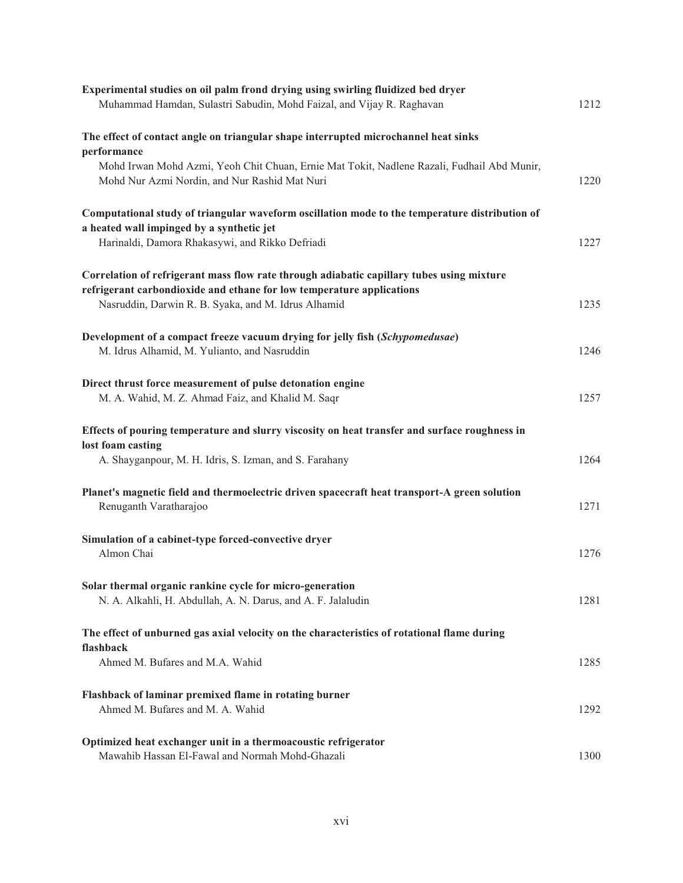| Experimental studies on oil palm frond drying using swirling fluidized bed dryer<br>Muhammad Hamdan, Sulastri Sabudin, Mohd Faizal, and Vijay R. Raghavan                                                                 | 1212 |
|---------------------------------------------------------------------------------------------------------------------------------------------------------------------------------------------------------------------------|------|
| The effect of contact angle on triangular shape interrupted microchannel heat sinks<br>performance                                                                                                                        |      |
| Mohd Irwan Mohd Azmi, Yeoh Chit Chuan, Ernie Mat Tokit, Nadlene Razali, Fudhail Abd Munir,<br>Mohd Nur Azmi Nordin, and Nur Rashid Mat Nuri                                                                               | 1220 |
| Computational study of triangular waveform oscillation mode to the temperature distribution of<br>a heated wall impinged by a synthetic jet<br>Harinaldi, Damora Rhakasywi, and Rikko Defriadi                            | 1227 |
| Correlation of refrigerant mass flow rate through adiabatic capillary tubes using mixture<br>refrigerant carbondioxide and ethane for low temperature applications<br>Nasruddin, Darwin R. B. Syaka, and M. Idrus Alhamid | 1235 |
| Development of a compact freeze vacuum drying for jelly fish (Schypomedusae)<br>M. Idrus Alhamid, M. Yulianto, and Nasruddin                                                                                              | 1246 |
| Direct thrust force measurement of pulse detonation engine<br>M. A. Wahid, M. Z. Ahmad Faiz, and Khalid M. Saqr                                                                                                           | 1257 |
| Effects of pouring temperature and slurry viscosity on heat transfer and surface roughness in<br>lost foam casting<br>A. Shayganpour, M. H. Idris, S. Izman, and S. Farahany                                              | 1264 |
| Planet's magnetic field and thermoelectric driven spacecraft heat transport-A green solution<br>Renuganth Varatharajoo                                                                                                    | 1271 |
| Simulation of a cabinet-type forced-convective dryer<br>Almon Chai                                                                                                                                                        | 1276 |
| Solar thermal organic rankine cycle for micro-generation<br>N. A. Alkahli, H. Abdullah, A. N. Darus, and A. F. Jalaludin                                                                                                  | 1281 |
| The effect of unburned gas axial velocity on the characteristics of rotational flame during<br>flashback                                                                                                                  |      |
| Ahmed M. Bufares and M.A. Wahid                                                                                                                                                                                           | 1285 |
| Flashback of laminar premixed flame in rotating burner<br>Ahmed M. Bufares and M. A. Wahid                                                                                                                                | 1292 |
| Optimized heat exchanger unit in a thermoacoustic refrigerator<br>Mawahib Hassan El-Fawal and Normah Mohd-Ghazali                                                                                                         | 1300 |